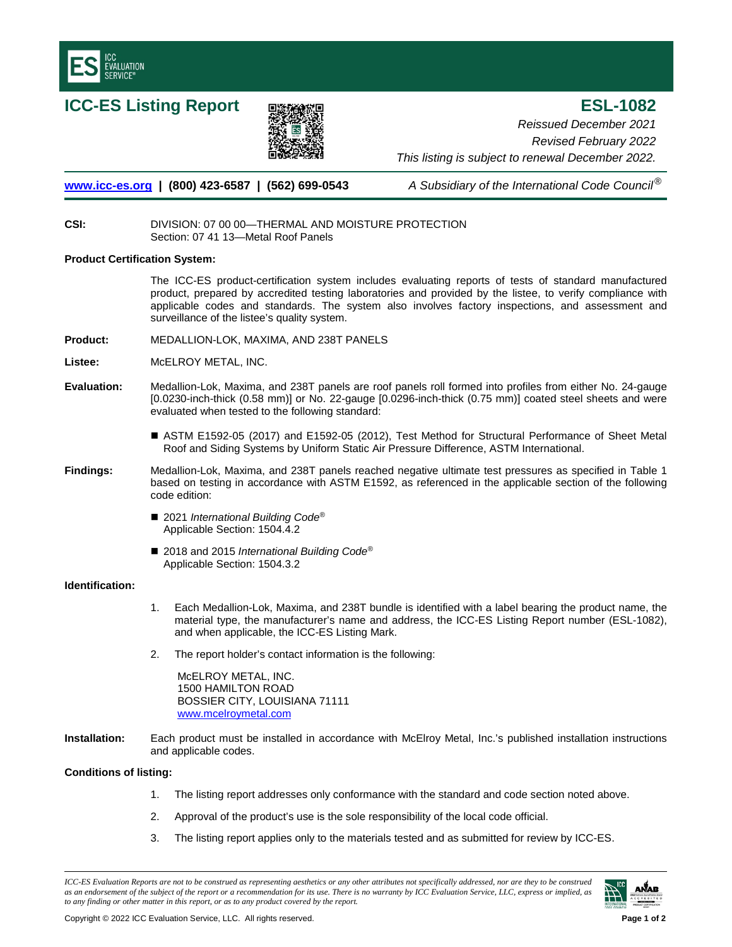

**ICC-ES Listing Report <b>■ 国家経験**理 **ESL-1082** *Reissued December 2021 Revised February 2022 This listing is subject to renewal December 2022.* 

**[www.icc-es.org](http://www.icc-es.org/) | (800) 423-6587 | (562) 699-0543** *A Subsidiary of the International Code Council*®

## **CSI:** DIVISION: 07 00 00—THERMAL AND MOISTURE PROTECTION Section: 07 41 13—Metal Roof Panels

## **Product Certification System:**

The ICC-ES product-certification system includes evaluating reports of tests of standard manufactured product, prepared by accredited testing laboratories and provided by the listee, to verify compliance with applicable codes and standards. The system also involves factory inspections, and assessment and surveillance of the listee's quality system.

- **Product:** MEDALLION-LOK, MAXIMA, AND 238T PANELS
- **Listee:** McELROY METAL, INC.
- **Evaluation:** Medallion-Lok, Maxima, and 238T panels are roof panels roll formed into profiles from either No. 24-gauge [0.0230-inch-thick (0.58 mm)] or No. 22-gauge [0.0296-inch-thick (0.75 mm)] coated steel sheets and were evaluated when tested to the following standard:
	- ASTM E1592-05 (2017) and E1592-05 (2012), Test Method for Structural Performance of Sheet Metal Roof and Siding Systems by Uniform Static Air Pressure Difference, ASTM International.
- **Findings:** Medallion-Lok, Maxima, and 238T panels reached negative ultimate test pressures as specified in Table 1 based on testing in accordance with ASTM E1592, as referenced in the applicable section of the following code edition:
	- 2021 *International Building Code<sup>®</sup>* Applicable Section: 1504.4.2
	- 2018 and 2015 *International Building Code<sup>®</sup>* Applicable Section: 1504.3.2

# **Identification:**

- 1. Each Medallion-Lok, Maxima, and 238T bundle is identified with a label bearing the product name, the material type, the manufacturer's name and address, the ICC-ES Listing Report number (ESL-1082), and when applicable, the ICC-ES Listing Mark.
- 2. The report holder's contact information is the following:

McELROY METAL, INC. 1500 HAMILTON ROAD BOSSIER CITY, LOUISIANA 71111 [www.mcelroymetal.com](http://www.mcelroymetal.com/)

**Installation:** Each product must be installed in accordance with McElroy Metal, Inc.'s published installation instructions and applicable codes.

### **Conditions of listing:**

- 1. The listing report addresses only conformance with the standard and code section noted above.
- 2. Approval of the product's use is the sole responsibility of the local code official.
- 3. The listing report applies only to the materials tested and as submitted for review by ICC-ES.

*ICC-ES Evaluation Reports are not to be construed as representing aesthetics or any other attributes not specifically addressed, nor are they to be construed as an endorsement of the subject of the report or a recommendation for its use. There is no warranty by ICC Evaluation Service, LLC, express or implied, as to any finding or other matter in this report, or as to any product covered by the report.*